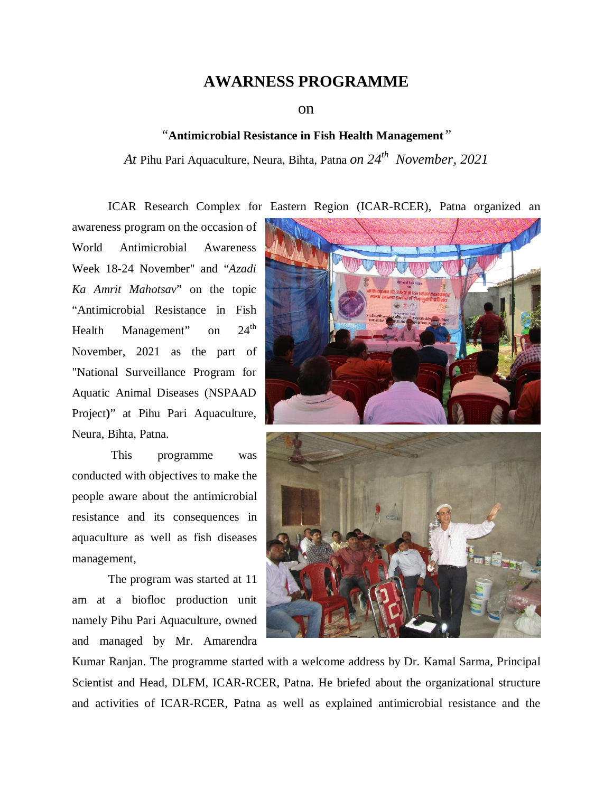## **AWARNESS PROGRAMME**

on

## *"***Antimicrobial Resistance in Fish Health Management***"*

*At* Pihu Pari Aquaculture, Neura, Bihta, Patna *on 24 th November, 2021*

ICAR Research Complex for Eastern Region (ICAR-RCER), Patna organized an

awareness program on the occasion of World Antimicrobial Awareness Week 18-24 November" and "*Azadi Ka Amrit Mahotsav*" on the topic "Antimicrobial Resistance in Fish Health Management" on  $24^{\text{th}}$ November, 2021 as the part of "National Surveillance Program for Aquatic Animal Diseases (NSPAAD Project**)**" at Pihu Pari Aquaculture, Neura, Bihta, Patna.

This programme was conducted with objectives to make the people aware about the antimicrobial resistance and its consequences in aquaculture as well as fish diseases management,

The program was started at 11 am at a biofloc production unit namely Pihu Pari Aquaculture, owned and managed by Mr. Amarendra



Kumar Ranjan. The programme started with a welcome address by Dr. Kamal Sarma, Principal Scientist and Head, DLFM, ICAR-RCER, Patna. He briefed about the organizational structure and activities of ICAR-RCER, Patna as well as explained antimicrobial resistance and the